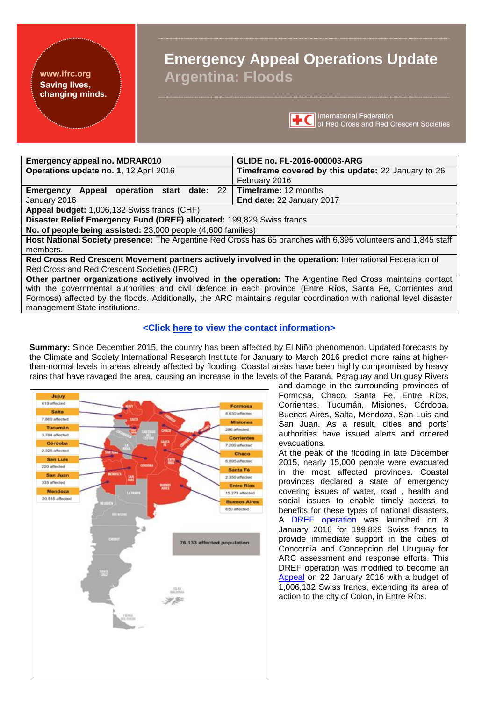#### <span id="page-0-0"></span>www.ifrc.org **Saving lives,** changing minds.

# **Emergency Appeal Operations Update Argentina: Floods**



| <b>Emergency appeal no. MDRAR010</b>                                  | GLIDE no. FL-2016-000003-ARG                                                                                  |  |
|-----------------------------------------------------------------------|---------------------------------------------------------------------------------------------------------------|--|
| Operations update no. 1, 12 April 2016                                | Timeframe covered by this update: 22 January to 26                                                            |  |
|                                                                       | February 2016                                                                                                 |  |
| <b>Emergency Appeal operation start date: 22</b>                      | Timeframe: 12 months                                                                                          |  |
| January 2016                                                          | End date: 22 January 2017                                                                                     |  |
| Appeal budget: 1,006,132 Swiss francs (CHF)                           |                                                                                                               |  |
| Disaster Relief Emergency Fund (DREF) allocated: 199,829 Swiss francs |                                                                                                               |  |
| No. of people being assisted: 23,000 people (4,600 families)          |                                                                                                               |  |
|                                                                       | Host National Society presence: The Argentine Red Cross has 65 branches with 6,395 volunteers and 1,845 staff |  |
| members.                                                              |                                                                                                               |  |
|                                                                       | Red Cross Red Crescent Movement partners actively involved in the operation: International Federation of      |  |
| Red Cross and Red Crescent Societies (IFRC)                           |                                                                                                               |  |

**Other partner organizations actively involved in the operation:** The Argentine Red Cross maintains contact with the governmental authorities and civil defence in each province (Entre Ríos, Santa Fe, Corrientes and Formosa) affected by the floods. Additionally, the ARC maintains regular coordination with national level disaster management State institutions.

# **<Click [here](#page-14-0) to view the contact information>**

**Summary:** Since December 2015, the country has been affected by El Niño phenomenon. Updated forecasts by the Climate and Society International Research Institute for January to March 2016 predict more rains at higherthan-normal levels in areas already affected by flooding. Coastal areas have been highly compromised by heavy rains that have ravaged the area, causing an increase in the levels of the Paraná, Paraguay and Uruguay Rivers



and damage in the surrounding provinces of Formosa, Chaco, Santa Fe, Entre Ríos, Corrientes, Tucumán, Misiones, Córdoba, Buenos Aires, Salta, Mendoza, San Luis and San Juan. As a result, cities and ports' authorities have issued alerts and ordered evacuations.

At the peak of the flooding in late December 2015, nearly 15,000 people were evacuated in the most affected provinces. Coastal provinces declared a state of emergency covering issues of water, road , health and social issues to enable timely access to benefits for these types of national disasters. A [DREF operation](http://adore.ifrc.org/Download.aspx?FileId=120034) was launched on 8 January 2016 for 199,829 Swiss francs to provide immediate support in the cities of Concordia and Concepcion del Uruguay for ARC assessment and response efforts. This DREF operation was modified to become an [Appeal](http://adore.ifrc.org/Download.aspx?FileId=120377) on 22 January 2016 with a budget of 1,006,132 Swiss francs, extending its area of action to the city of Colon, in Entre Ríos.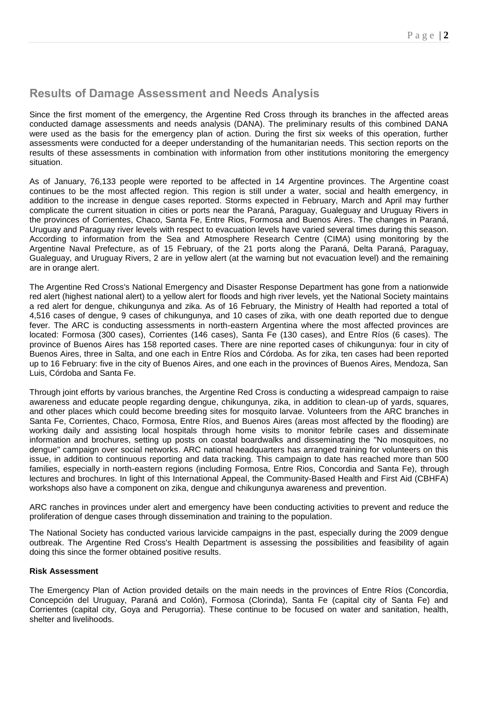# **Results of Damage Assessment and Needs Analysis**

Since the first moment of the emergency, the Argentine Red Cross through its branches in the affected areas conducted damage assessments and needs analysis (DANA). The preliminary results of this combined DANA were used as the basis for the emergency plan of action. During the first six weeks of this operation, further assessments were conducted for a deeper understanding of the humanitarian needs. This section reports on the results of these assessments in combination with information from other institutions monitoring the emergency situation.

As of January, 76,133 people were reported to be affected in 14 Argentine provinces. The Argentine coast continues to be the most affected region. This region is still under a water, social and health emergency, in addition to the increase in dengue cases reported. Storms expected in February, March and April may further complicate the current situation in cities or ports near the Paraná, Paraguay, Gualeguay and Uruguay Rivers in the provinces of Corrientes, Chaco, Santa Fe, Entre Rios, Formosa and Buenos Aires. The changes in Paraná, Uruguay and Paraguay river levels with respect to evacuation levels have varied several times during this season. According to information from the Sea and Atmosphere Research Centre (CIMA) using monitoring by the Argentine Naval Prefecture, as of 15 February, of the 21 ports along the Paraná, Delta Paraná, Paraguay, Gualeguay, and Uruguay Rivers, 2 are in yellow alert (at the warning but not evacuation level) and the remaining are in orange alert.

The Argentine Red Cross's National Emergency and Disaster Response Department has gone from a nationwide red alert (highest national alert) to a yellow alert for floods and high river levels, yet the National Society maintains a red alert for dengue, chikungunya and zika. As of 16 February, the Ministry of Health had reported a total of 4,516 cases of dengue, 9 cases of chikungunya, and 10 cases of zika, with one death reported due to dengue fever. The ARC is conducting assessments in north-eastern Argentina where the most affected provinces are located: Formosa (300 cases), Corrientes (146 cases), Santa Fe (130 cases), and Entre Ríos (6 cases). The province of Buenos Aires has 158 reported cases. There are nine reported cases of chikungunya: four in city of Buenos Aires, three in Salta, and one each in Entre Ríos and Córdoba. As for zika, ten cases had been reported up to 16 February: five in the city of Buenos Aires, and one each in the provinces of Buenos Aires, Mendoza, San Luis, Córdoba and Santa Fe.

Through joint efforts by various branches, the Argentine Red Cross is conducting a widespread campaign to raise awareness and educate people regarding dengue, chikungunya, zika, in addition to clean-up of yards, squares, and other places which could become breeding sites for mosquito larvae. Volunteers from the ARC branches in Santa Fe, Corrientes, Chaco, Formosa, Entre Ríos, and Buenos Aires (areas most affected by the flooding) are working daily and assisting local hospitals through home visits to monitor febrile cases and disseminate information and brochures, setting up posts on coastal boardwalks and disseminating the "No mosquitoes, no dengue" campaign over social networks. ARC national headquarters has arranged training for volunteers on this issue, in addition to continuous reporting and data tracking. This campaign to date has reached more than 500 families, especially in north-eastern regions (including Formosa, Entre Rios, Concordia and Santa Fe), through lectures and brochures. In light of this International Appeal, the Community-Based Health and First Aid (CBHFA) workshops also have a component on zika, dengue and chikungunya awareness and prevention.

ARC ranches in provinces under alert and emergency have been conducting activities to prevent and reduce the proliferation of dengue cases through dissemination and training to the population.

The National Society has conducted various larvicide campaigns in the past, especially during the 2009 dengue outbreak. The Argentine Red Cross's Health Department is assessing the possibilities and feasibility of again doing this since the former obtained positive results.

#### **Risk Assessment**

The Emergency Plan of Action provided details on the main needs in the provinces of Entre Ríos (Concordia, Concepción del Uruguay, Paraná and Colón), Formosa (Clorinda), Santa Fe (capital city of Santa Fe) and Corrientes (capital city, Goya and Perugorria). These continue to be focused on water and sanitation, health, shelter and livelihoods.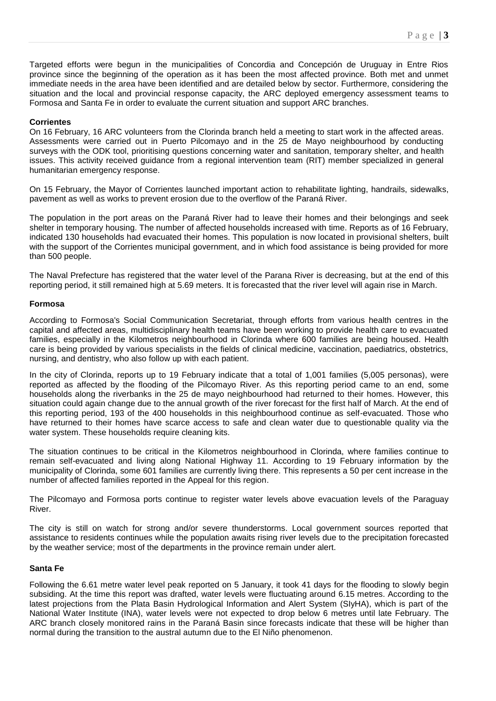Targeted efforts were begun in the municipalities of Concordia and Concepción de Uruguay in Entre Rios province since the beginning of the operation as it has been the most affected province. Both met and unmet immediate needs in the area have been identified and are detailed below by sector. Furthermore, considering the situation and the local and provincial response capacity, the ARC deployed emergency assessment teams to Formosa and Santa Fe in order to evaluate the current situation and support ARC branches.

## **Corrientes**

On 16 February, 16 ARC volunteers from the Clorinda branch held a meeting to start work in the affected areas. Assessments were carried out in Puerto Pilcomayo and in the 25 de Mayo neighbourhood by conducting surveys with the ODK tool, prioritising questions concerning water and sanitation, temporary shelter, and health issues. This activity received guidance from a regional intervention team (RIT) member specialized in general humanitarian emergency response.

On 15 February, the Mayor of Corrientes launched important action to rehabilitate lighting, handrails, sidewalks, pavement as well as works to prevent erosion due to the overflow of the Paraná River.

The population in the port areas on the Paraná River had to leave their homes and their belongings and seek shelter in temporary housing. The number of affected households increased with time. Reports as of 16 February, indicated 130 households had evacuated their homes. This population is now located in provisional shelters, built with the support of the Corrientes municipal government, and in which food assistance is being provided for more than 500 people.

The Naval Prefecture has registered that the water level of the Parana River is decreasing, but at the end of this reporting period, it still remained high at 5.69 meters. It is forecasted that the river level will again rise in March.

## **Formosa**

According to Formosa's Social Communication Secretariat, through efforts from various health centres in the capital and affected areas, multidisciplinary health teams have been working to provide health care to evacuated families, especially in the Kilometros neighbourhood in Clorinda where 600 families are being housed. Health care is being provided by various specialists in the fields of clinical medicine, vaccination, paediatrics, obstetrics, nursing, and dentistry, who also follow up with each patient.

In the city of Clorinda, reports up to 19 February indicate that a total of 1,001 families (5,005 personas), were reported as affected by the flooding of the Pilcomayo River. As this reporting period came to an end, some households along the riverbanks in the 25 de mayo neighbourhood had returned to their homes. However, this situation could again change due to the annual growth of the river forecast for the first half of March. At the end of this reporting period, 193 of the 400 households in this neighbourhood continue as self-evacuated. Those who have returned to their homes have scarce access to safe and clean water due to questionable quality via the water system. These households require cleaning kits.

The situation continues to be critical in the Kilometros neighbourhood in Clorinda, where families continue to remain self-evacuated and living along National Highway 11. According to 19 February information by the municipality of Clorinda, some 601 families are currently living there. This represents a 50 per cent increase in the number of affected families reported in the Appeal for this region.

The Pilcomayo and Formosa ports continue to register water levels above evacuation levels of the Paraguay River.

The city is still on watch for strong and/or severe thunderstorms. Local government sources reported that assistance to residents continues while the population awaits rising river levels due to the precipitation forecasted by the weather service; most of the departments in the province remain under alert.

## **Santa Fe**

Following the 6.61 metre water level peak reported on 5 January, it took 41 days for the flooding to slowly begin subsiding. At the time this report was drafted, water levels were fluctuating around 6.15 metres. According to the latest projections from the Plata Basin Hydrological Information and Alert System (SIyHA), which is part of the National Water Institute (INA), water levels were not expected to drop below 6 metres until late February. The ARC branch closely monitored rains in the Paraná Basin since forecasts indicate that these will be higher than normal during the transition to the austral autumn due to the El Niño phenomenon.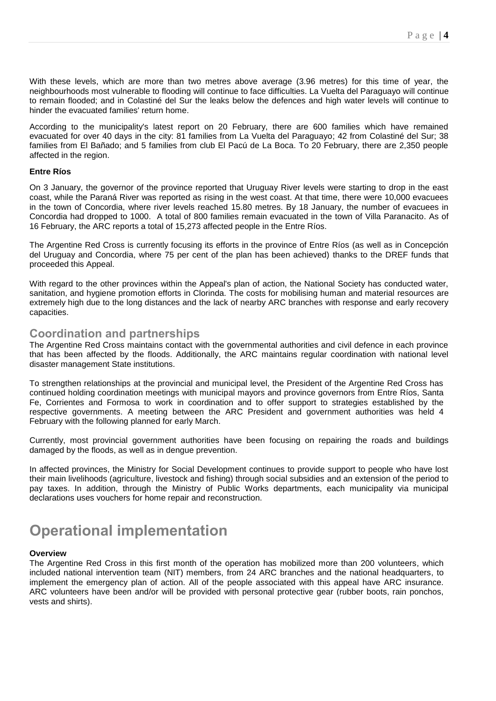With these levels, which are more than two metres above average (3.96 metres) for this time of year, the neighbourhoods most vulnerable to flooding will continue to face difficulties. La Vuelta del Paraguayo will continue to remain flooded; and in Colastiné del Sur the leaks below the defences and high water levels will continue to hinder the evacuated families' return home.

According to the municipality's latest report on 20 February, there are 600 families which have remained evacuated for over 40 days in the city: 81 families from La Vuelta del Paraguayo; 42 from Colastiné del Sur; 38 families from El Bañado; and 5 families from club El Pacú de La Boca. To 20 February, there are 2,350 people affected in the region.

#### **Entre Ríos**

On 3 January, the governor of the province reported that Uruguay River levels were starting to drop in the east coast, while the Paraná River was reported as rising in the west coast. At that time, there were 10,000 evacuees in the town of Concordia, where river levels reached 15.80 metres. By 18 January, the number of evacuees in Concordia had dropped to 1000. A total of 800 families remain evacuated in the town of Villa Paranacito. As of 16 February, the ARC reports a total of 15,273 affected people in the Entre Ríos.

The Argentine Red Cross is currently focusing its efforts in the province of Entre Ríos (as well as in Concepción del Uruguay and Concordia, where 75 per cent of the plan has been achieved) thanks to the DREF funds that proceeded this Appeal.

With regard to the other provinces within the Appeal's plan of action, the National Society has conducted water, sanitation, and hygiene promotion efforts in Clorinda. The costs for mobilising human and material resources are extremely high due to the long distances and the lack of nearby ARC branches with response and early recovery capacities.

# **Coordination and partnerships**

The Argentine Red Cross maintains contact with the governmental authorities and civil defence in each province that has been affected by the floods. Additionally, the ARC maintains regular coordination with national level disaster management State institutions.

To strengthen relationships at the provincial and municipal level, the President of the Argentine Red Cross has continued holding coordination meetings with municipal mayors and province governors from Entre Ríos, Santa Fe, Corrientes and Formosa to work in coordination and to offer support to strategies established by the respective governments. A meeting between the ARC President and government authorities was held 4 February with the following planned for early March.

Currently, most provincial government authorities have been focusing on repairing the roads and buildings damaged by the floods, as well as in dengue prevention.

In affected provinces, the Ministry for Social Development continues to provide support to people who have lost their main livelihoods (agriculture, livestock and fishing) through social subsidies and an extension of the period to pay taxes. In addition, through the Ministry of Public Works departments, each municipality via municipal declarations uses vouchers for home repair and reconstruction.

# **Operational implementation**

#### **Overview**

The Argentine Red Cross in this first month of the operation has mobilized more than 200 volunteers, which included national intervention team (NIT) members, from 24 ARC branches and the national headquarters, to implement the emergency plan of action. All of the people associated with this appeal have ARC insurance. ARC volunteers have been and/or will be provided with personal protective gear (rubber boots, rain ponchos, vests and shirts).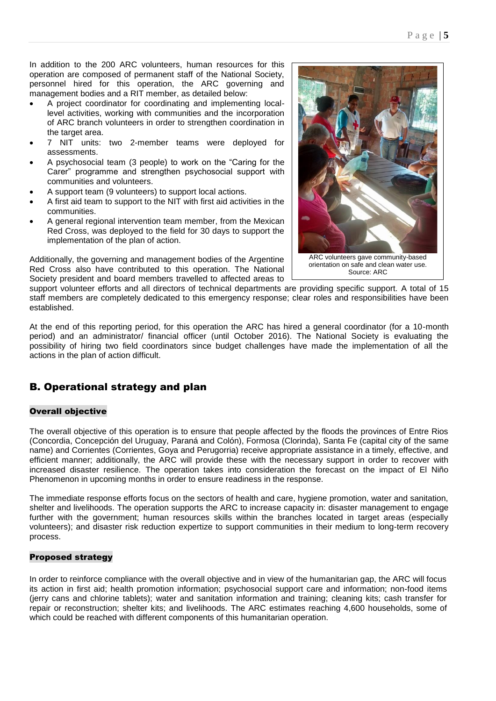In addition to the 200 ARC volunteers, human resources for this operation are composed of permanent staff of the National Society, personnel hired for this operation, the ARC governing and management bodies and a RIT member, as detailed below:

- A project coordinator for coordinating and implementing locallevel activities, working with communities and the incorporation of ARC branch volunteers in order to strengthen coordination in the target area.
- 7 NIT units: two 2-member teams were deployed for assessments.
- A psychosocial team (3 people) to work on the "Caring for the Carer" programme and strengthen psychosocial support with communities and volunteers.
- A support team (9 volunteers) to support local actions.
- A first aid team to support to the NIT with first aid activities in the communities.
- A general regional intervention team member, from the Mexican Red Cross, was deployed to the field for 30 days to support the implementation of the plan of action.

Additionally, the governing and management bodies of the Argentine Red Cross also have contributed to this operation. The National Society president and board members travelled to affected areas to



support volunteer efforts and all directors of technical departments are providing specific support. A total of 15 staff members are completely dedicated to this emergency response; clear roles and responsibilities have been established.

At the end of this reporting period, for this operation the ARC has hired a general coordinator (for a 10-month period) and an administrator/ financial officer (until October 2016). The National Society is evaluating the possibility of hiring two field coordinators since budget challenges have made the implementation of all the actions in the plan of action difficult.

# B. Operational strategy and plan

## Overall objective

The overall objective of this operation is to ensure that people affected by the floods the provinces of Entre Rios (Concordia, Concepción del Uruguay, Paraná and Colón), Formosa (Clorinda), Santa Fe (capital city of the same name) and Corrientes (Corrientes, Goya and Perugorria) receive appropriate assistance in a timely, effective, and efficient manner; additionally, the ARC will provide these with the necessary support in order to recover with increased disaster resilience. The operation takes into consideration the forecast on the impact of El Niño Phenomenon in upcoming months in order to ensure readiness in the response.

The immediate response efforts focus on the sectors of health and care, hygiene promotion, water and sanitation, shelter and livelihoods. The operation supports the ARC to increase capacity in: disaster management to engage further with the government; human resources skills within the branches located in target areas (especially volunteers); and disaster risk reduction expertize to support communities in their medium to long-term recovery process.

## Proposed strategy

In order to reinforce compliance with the overall objective and in view of the humanitarian gap, the ARC will focus its action in first aid; health promotion information; psychosocial support care and information; non-food items (jerry cans and chlorine tablets); water and sanitation information and training; cleaning kits; cash transfer for repair or reconstruction; shelter kits; and livelihoods. The ARC estimates reaching 4,600 households, some of which could be reached with different components of this humanitarian operation.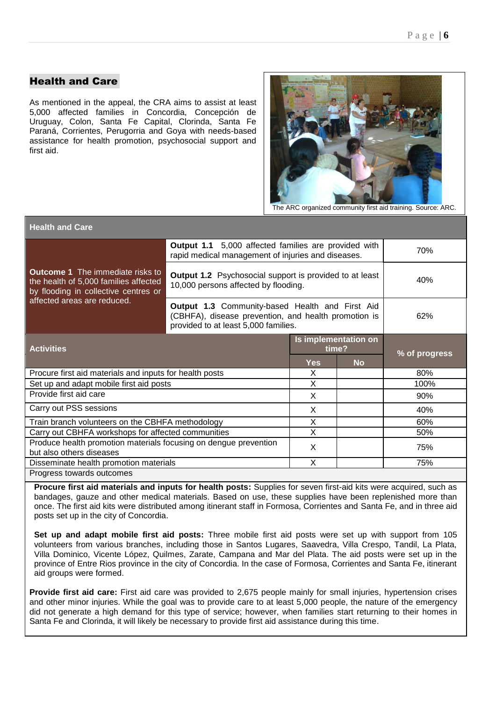# Health and Care

As mentioned in the appeal, the CRA aims to assist at least 5,000 affected families in Concordia, Concepción de Uruguay, Colon, Santa Fe Capital, Clorinda, Santa Fe Paraná, Corrientes, Perugorria and Goya with needs-based assistance for health promotion, psychosocial support and first aid.



The ARC organized community first aid training. Source: ARC.

| <b>Health and Care</b>                                                                                                   |                                                                                                                                                 |                               |           |               |  |  |  |
|--------------------------------------------------------------------------------------------------------------------------|-------------------------------------------------------------------------------------------------------------------------------------------------|-------------------------------|-----------|---------------|--|--|--|
|                                                                                                                          | Output 1.1 5,000 affected families are provided with<br>rapid medical management of injuries and diseases.                                      | 70%                           |           |               |  |  |  |
| <b>Outcome 1</b> The immediate risks to<br>the health of 5,000 families affected<br>by flooding in collective centres or | <b>Output 1.2</b> Psychosocial support is provided to at least<br>10,000 persons affected by flooding.                                          | 40%                           |           |               |  |  |  |
| affected areas are reduced.                                                                                              | Output 1.3 Community-based Health and First Aid<br>(CBHFA), disease prevention, and health promotion is<br>provided to at least 5,000 families. |                               |           |               |  |  |  |
| <b>Activities</b>                                                                                                        |                                                                                                                                                 | Is implementation on<br>time? |           |               |  |  |  |
|                                                                                                                          |                                                                                                                                                 |                               |           |               |  |  |  |
|                                                                                                                          |                                                                                                                                                 | <b>Yes</b>                    | <b>No</b> | % of progress |  |  |  |
| Procure first aid materials and inputs for health posts                                                                  |                                                                                                                                                 | X                             |           | 80%           |  |  |  |
| Set up and adapt mobile first aid posts                                                                                  |                                                                                                                                                 | X                             |           | 100%          |  |  |  |
| Provide first aid care                                                                                                   |                                                                                                                                                 | X                             |           | 90%           |  |  |  |
| Carry out PSS sessions                                                                                                   |                                                                                                                                                 | X                             |           | 40%           |  |  |  |
| Train branch volunteers on the CBHFA methodology                                                                         |                                                                                                                                                 | X                             |           | 60%           |  |  |  |
| Carry out CBHFA workshops for affected communities                                                                       |                                                                                                                                                 | X                             |           | 50%           |  |  |  |
| Produce health promotion materials focusing on dengue prevention                                                         |                                                                                                                                                 | X                             |           | 75%           |  |  |  |
| but also others diseases<br>Disseminate health promotion materials                                                       |                                                                                                                                                 | X                             |           | 75%           |  |  |  |

**Procure first aid materials and inputs for health posts:** Supplies for seven first-aid kits were acquired, such as bandages, gauze and other medical materials. Based on use, these supplies have been replenished more than once. The first aid kits were distributed among itinerant staff in Formosa, Corrientes and Santa Fe, and in three aid posts set up in the city of Concordia.

**Set up and adapt mobile first aid posts:** Three mobile first aid posts were set up with support from 105 volunteers from various branches, including those in Santos Lugares, Saavedra, Villa Crespo, Tandil, La Plata, Villa Dominico, Vicente López, Quilmes, Zarate, Campana and Mar del Plata. The aid posts were set up in the province of Entre Rios province in the city of Concordia. In the case of Formosa, Corrientes and Santa Fe, itinerant aid groups were formed.

**Provide first aid care:** First aid care was provided to 2,675 people mainly for small injuries, hypertension crises and other minor injuries. While the goal was to provide care to at least 5,000 people, the nature of the emergency did not generate a high demand for this type of service; however, when families start returning to their homes in Santa Fe and Clorinda, it will likely be necessary to provide first aid assistance during this time.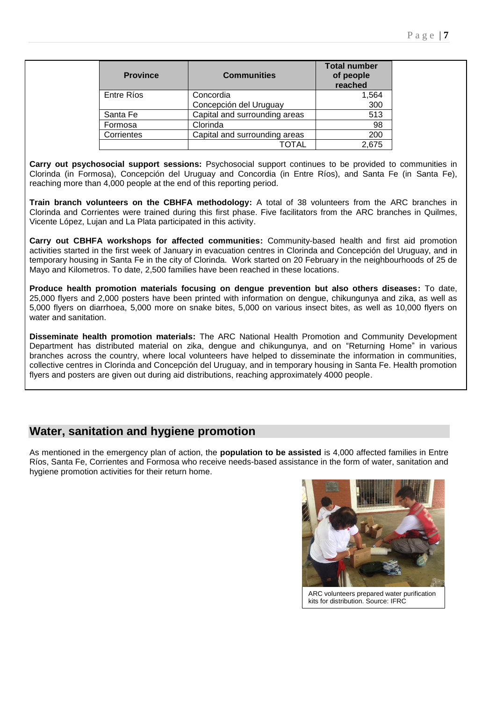| <b>Province</b>   | <b>Communities</b>            | <b>Total number</b><br>of people<br>reached |
|-------------------|-------------------------------|---------------------------------------------|
| <b>Entre Ríos</b> | Concordia                     | 1,564                                       |
|                   | Concepción del Uruguay        | 300                                         |
| Santa Fe          | Capital and surrounding areas | 513                                         |
| Formosa           | Clorinda                      | 98                                          |
| Corrientes        | Capital and surrounding areas | 200                                         |
|                   |                               | 2.675                                       |

**Carry out psychosocial support sessions:** Psychosocial support continues to be provided to communities in Clorinda (in Formosa), Concepción del Uruguay and Concordia (in Entre Ríos), and Santa Fe (in Santa Fe), reaching more than 4,000 people at the end of this reporting period.

**Train branch volunteers on the CBHFA methodology:** A total of 38 volunteers from the ARC branches in Clorinda and Corrientes were trained during this first phase. Five facilitators from the ARC branches in Quilmes, Vicente López, Lujan and La Plata participated in this activity.

**Carry out CBHFA workshops for affected communities:** Community-based health and first aid promotion activities started in the first week of January in evacuation centres in Clorinda and Concepción del Uruguay, and in temporary housing in Santa Fe in the city of Clorinda. Work started on 20 February in the neighbourhoods of 25 de Mayo and Kilometros. To date, 2,500 families have been reached in these locations.

**Produce health promotion materials focusing on dengue prevention but also others diseases:** To date, 25,000 flyers and 2,000 posters have been printed with information on dengue, chikungunya and zika, as well as 5,000 flyers on diarrhoea, 5,000 more on snake bites, 5,000 on various insect bites, as well as 10,000 flyers on water and sanitation.

**Disseminate health promotion materials:** The ARC National Health Promotion and Community Development Department has distributed material on zika, dengue and chikungunya, and on "Returning Home" in various branches across the country, where local volunteers have helped to disseminate the information in communities, collective centres in Clorinda and Concepción del Uruguay, and in temporary housing in Santa Fe. Health promotion flyers and posters are given out during aid distributions, reaching approximately 4000 people.

# **Water, sanitation and hygiene promotion**

As mentioned in the emergency plan of action, the **population to be assisted** is 4,000 affected families in Entre Ríos, Santa Fe, Corrientes and Formosa who receive needs-based assistance in the form of water, sanitation and hygiene promotion activities for their return home.

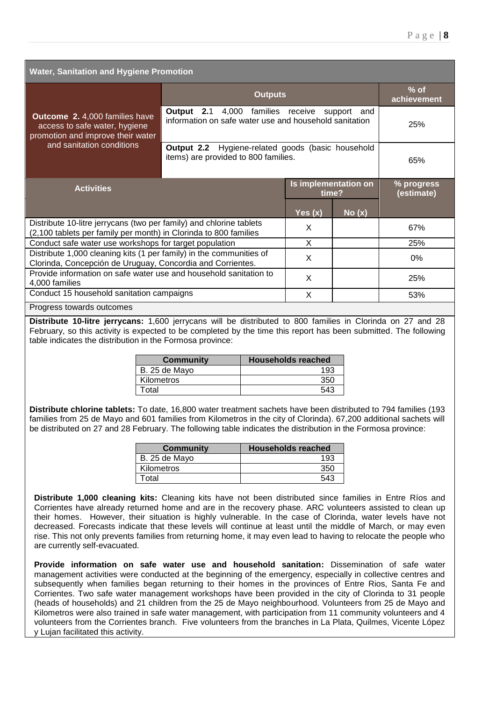| <b>Water, Sanitation and Hygiene Promotion</b>                                                                                                                                                                                                                                                                                                                                                                                                                                                                                                                                                 |                                                                                                                                   |                                                                                           |           |                       |                          |
|------------------------------------------------------------------------------------------------------------------------------------------------------------------------------------------------------------------------------------------------------------------------------------------------------------------------------------------------------------------------------------------------------------------------------------------------------------------------------------------------------------------------------------------------------------------------------------------------|-----------------------------------------------------------------------------------------------------------------------------------|-------------------------------------------------------------------------------------------|-----------|-----------------------|--------------------------|
| <b>Outputs</b>                                                                                                                                                                                                                                                                                                                                                                                                                                                                                                                                                                                 |                                                                                                                                   |                                                                                           |           | $%$ of<br>achievement |                          |
| <b>Outcome 2.</b> 4,000 families have<br>access to safe water, hygiene<br>promotion and improve their water                                                                                                                                                                                                                                                                                                                                                                                                                                                                                    | <b>Output 2.1</b> 4,000 families receive<br>support<br>and<br>information on safe water use and household sanitation              |                                                                                           |           |                       | 25%                      |
| and sanitation conditions                                                                                                                                                                                                                                                                                                                                                                                                                                                                                                                                                                      |                                                                                                                                   | Output 2.2 Hygiene-related goods (basic household<br>items) are provided to 800 families. |           |                       | 65%                      |
| Is implementation on<br><b>Activities</b><br>time?                                                                                                                                                                                                                                                                                                                                                                                                                                                                                                                                             |                                                                                                                                   |                                                                                           |           |                       | % progress<br>(estimate) |
|                                                                                                                                                                                                                                                                                                                                                                                                                                                                                                                                                                                                |                                                                                                                                   |                                                                                           | Yes $(x)$ | No(x)                 |                          |
| Distribute 10-litre jerrycans (two per family) and chlorine tablets<br>(2,100 tablets per family per month) in Clorinda to 800 families                                                                                                                                                                                                                                                                                                                                                                                                                                                        |                                                                                                                                   |                                                                                           | X         |                       | 67%                      |
| Conduct safe water use workshops for target population                                                                                                                                                                                                                                                                                                                                                                                                                                                                                                                                         |                                                                                                                                   |                                                                                           | X         |                       | 25%                      |
|                                                                                                                                                                                                                                                                                                                                                                                                                                                                                                                                                                                                | Distribute 1,000 cleaning kits (1 per family) in the communities of<br>Clorinda, Concepción de Uruguay, Concordia and Corrientes. |                                                                                           |           |                       | 0%                       |
| Provide information on safe water use and household sanitation to<br>4,000 families                                                                                                                                                                                                                                                                                                                                                                                                                                                                                                            |                                                                                                                                   |                                                                                           | X         |                       | 25%                      |
| Conduct 15 household sanitation campaigns                                                                                                                                                                                                                                                                                                                                                                                                                                                                                                                                                      |                                                                                                                                   |                                                                                           | X         |                       | 53%                      |
| Progress towards outcomes                                                                                                                                                                                                                                                                                                                                                                                                                                                                                                                                                                      |                                                                                                                                   |                                                                                           |           |                       |                          |
| Distribute 10-litre jerrycans: 1,600 jerrycans will be distributed to 800 families in Clorinda on 27 and 28<br>February, so this activity is expected to be completed by the time this report has been submitted. The following<br>table indicates the distribution in the Formosa province:                                                                                                                                                                                                                                                                                                   |                                                                                                                                   |                                                                                           |           |                       |                          |
|                                                                                                                                                                                                                                                                                                                                                                                                                                                                                                                                                                                                | <b>Households reached</b><br><b>Community</b>                                                                                     |                                                                                           |           |                       |                          |
|                                                                                                                                                                                                                                                                                                                                                                                                                                                                                                                                                                                                | B. 25 de Mayo<br>193                                                                                                              |                                                                                           |           |                       |                          |
| Total                                                                                                                                                                                                                                                                                                                                                                                                                                                                                                                                                                                          | Kilometros<br>350<br>543                                                                                                          |                                                                                           |           |                       |                          |
| Distribute chlorine tablets: To date, 16,800 water treatment sachets have been distributed to 794 families (193<br>families from 25 de Mayo and 601 families from Kilometros in the city of Clorinda). 67,200 additional sachets will<br>be distributed on 27 and 28 February. The following table indicates the distribution in the Formosa province:<br><u>I and a series of the series of the series of the series of the series of the series of the series of the series of the series of the series of the series of the series of the series of the series of the series of the ser</u> |                                                                                                                                   |                                                                                           |           |                       |                          |

| <b>Community</b> | <b>Households reached</b> |
|------------------|---------------------------|
| B. 25 de Mayo    |                           |
| Kilometros       |                           |
| Гotal            | 543                       |

**Distribute 1,000 cleaning kits:** Cleaning kits have not been distributed since families in Entre Ríos and Corrientes have already returned home and are in the recovery phase. ARC volunteers assisted to clean up their homes. However, their situation is highly vulnerable. In the case of Clorinda, water levels have not decreased. Forecasts indicate that these levels will continue at least until the middle of March, or may even rise. This not only prevents families from returning home, it may even lead to having to relocate the people who are currently self-evacuated.

**Provide information on safe water use and household sanitation:** Dissemination of safe water management activities were conducted at the beginning of the emergency, especially in collective centres and subsequently when families began returning to their homes in the provinces of Entre Rios, Santa Fe and Corrientes. Two safe water management workshops have been provided in the city of Clorinda to 31 people (heads of households) and 21 children from the 25 de Mayo neighbourhood. Volunteers from 25 de Mayo and Kilometros were also trained in safe water management, with participation from 11 community volunteers and 4 volunteers from the Corrientes branch. Five volunteers from the branches in La Plata, Quilmes, Vicente López y Lujan facilitated this activity.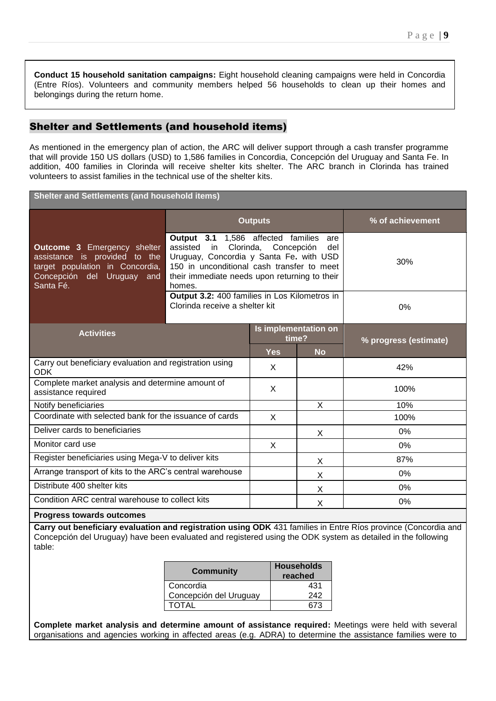**Conduct 15 household sanitation campaigns:** Eight household cleaning campaigns were held in Concordia (Entre Ríos). Volunteers and community members helped 56 households to clean up their homes and belongings during the return home.

# Shelter and Settlements (and household items)

As mentioned in the emergency plan of action, the ARC will deliver support through a cash transfer programme that will provide 150 US dollars (USD) to 1,586 families in Concordia, Concepción del Uruguay and Santa Fe. In addition, 400 families in Clorinda will receive shelter kits shelter. The ARC branch in Clorinda has trained volunteers to assist families in the technical use of the shelter kits.

**Shelter and Settlements (and household items)**

|                                                                                                                                                   |                                                                                                                                                                                                                 | <b>Outputs</b>                | % of achievement |                       |  |
|---------------------------------------------------------------------------------------------------------------------------------------------------|-----------------------------------------------------------------------------------------------------------------------------------------------------------------------------------------------------------------|-------------------------------|------------------|-----------------------|--|
| <b>Outcome 3 Emergency shelter</b><br>assistance is provided to the<br>target population in Concordia,<br>Concepción del Uruguay and<br>Santa Fé. | Output 3.1 1,586 affected families<br>assisted in Clorinda,<br>Uruguay, Concordia y Santa Fe. with USD<br>150 in unconditional cash transfer to meet<br>their immediate needs upon returning to their<br>homes. | Concepción                    | 30%              |                       |  |
|                                                                                                                                                   | Output 3.2: 400 families in Los Kilometros in<br>Clorinda receive a shelter kit                                                                                                                                 |                               |                  | 0%                    |  |
| <b>Activities</b>                                                                                                                                 |                                                                                                                                                                                                                 | Is implementation on<br>time? |                  | % progress (estimate) |  |
|                                                                                                                                                   |                                                                                                                                                                                                                 | <b>Yes</b>                    | <b>No</b>        |                       |  |
| Carry out beneficiary evaluation and registration using<br><b>ODK</b>                                                                             |                                                                                                                                                                                                                 | X                             |                  | 42%                   |  |
| Complete market analysis and determine amount of<br>assistance required                                                                           |                                                                                                                                                                                                                 | X                             |                  | 100%                  |  |
| Notify beneficiaries                                                                                                                              |                                                                                                                                                                                                                 |                               | X                | 10%                   |  |
| Coordinate with selected bank for the issuance of cards                                                                                           |                                                                                                                                                                                                                 | X                             |                  | 100%                  |  |
| Deliver cards to beneficiaries                                                                                                                    |                                                                                                                                                                                                                 |                               | X                | 0%                    |  |
| Monitor card use                                                                                                                                  |                                                                                                                                                                                                                 | X                             |                  | 0%                    |  |
| Register beneficiaries using Mega-V to deliver kits                                                                                               |                                                                                                                                                                                                                 |                               | X                | 87%                   |  |
| Arrange transport of kits to the ARC's central warehouse                                                                                          |                                                                                                                                                                                                                 |                               | X                | 0%                    |  |
| Distribute 400 shelter kits                                                                                                                       |                                                                                                                                                                                                                 |                               | X                | 0%                    |  |
| Condition ARC central warehouse to collect kits                                                                                                   |                                                                                                                                                                                                                 |                               | X                | 0%                    |  |
| <b>Progress towards outcomes</b>                                                                                                                  |                                                                                                                                                                                                                 |                               |                  |                       |  |

**Carry out beneficiary evaluation and registration using ODK** 431 families in Entre Ríos province (Concordia and Concepción del Uruguay) have been evaluated and registered using the ODK system as detailed in the following table:

| <b>Community</b>       | <b>Households</b><br>reached |
|------------------------|------------------------------|
| Concordia              | 431                          |
| Concepción del Uruguay | 242                          |
| <b>TOTAL</b>           | 673                          |

**Complete market analysis and determine amount of assistance required:** Meetings were held with several organisations and agencies working in affected areas (e.g. ADRA) to determine the assistance families were to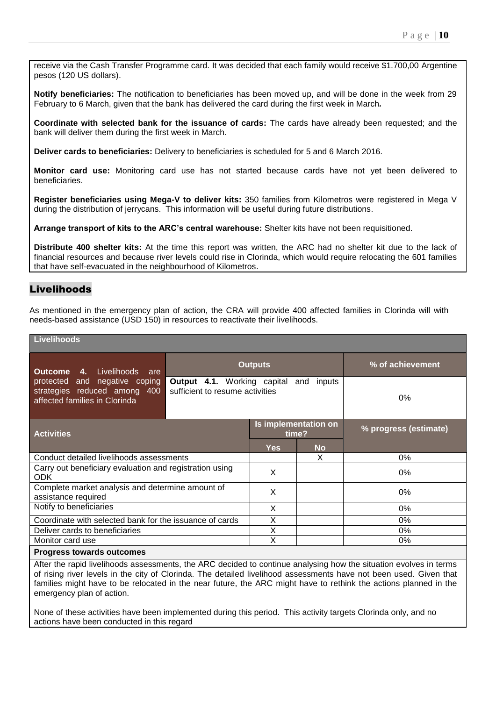receive via the Cash Transfer Programme card. It was decided that each family would receive \$1.700,00 Argentine pesos (120 US dollars).

**Notify beneficiaries:** The notification to beneficiaries has been moved up, and will be done in the week from 29 February to 6 March, given that the bank has delivered the card during the first week in March*.* 

**Coordinate with selected bank for the issuance of cards:** The cards have already been requested; and the bank will deliver them during the first week in March.

**Deliver cards to beneficiaries:** Delivery to beneficiaries is scheduled for 5 and 6 March 2016.

**Monitor card use:** Monitoring card use has not started because cards have not yet been delivered to beneficiaries.

**Register beneficiaries using Mega-V to deliver kits:** 350 families from Kilometros were registered in Mega V during the distribution of jerrycans. This information will be useful during future distributions.

**Arrange transport of kits to the ARC's central warehouse:** Shelter kits have not been requisitioned.

**Distribute 400 shelter kits:** At the time this report was written, the ARC had no shelter kit due to the lack of financial resources and because river levels could rise in Clorinda, which would require relocating the 601 families that have self-evacuated in the neighbourhood of Kilometros.

# Livelihoods

As mentioned in the emergency plan of action, the CRA will provide 400 affected families in Clorinda will with needs-based assistance (USD 150) in resources to reactivate their livelihoods.

| <b>Livelihoods</b>                                                                             |                                                                    |                               |           |                       |  |  |
|------------------------------------------------------------------------------------------------|--------------------------------------------------------------------|-------------------------------|-----------|-----------------------|--|--|
| 4. Livelihoods<br>Outcome<br>are                                                               |                                                                    | <b>Outputs</b>                |           | % of achievement      |  |  |
| protected and negative coping<br>strategies reduced among 400<br>affected families in Clorinda | Output 4.1. Working capital and<br>sufficient to resume activities |                               | 0%        |                       |  |  |
| <b>Activities</b>                                                                              |                                                                    | Is implementation on<br>time? |           | % progress (estimate) |  |  |
|                                                                                                |                                                                    | <b>Yes</b>                    | <b>No</b> |                       |  |  |
| Conduct detailed livelihoods assessments                                                       |                                                                    |                               | X         | 0%                    |  |  |
| Carry out beneficiary evaluation and registration using<br>ODK.                                |                                                                    | X                             |           | 0%                    |  |  |
| Complete market analysis and determine amount of<br>assistance required                        |                                                                    | X                             |           | 0%                    |  |  |
| Notify to beneficiaries                                                                        |                                                                    | X                             |           | 0%                    |  |  |
| Coordinate with selected bank for the issuance of cards                                        |                                                                    | X                             |           | 0%                    |  |  |
| Deliver cards to beneficiaries                                                                 |                                                                    | X                             |           | 0%                    |  |  |
| Monitor card use                                                                               |                                                                    | X                             |           | 0%                    |  |  |
| <b>Progress towards outcomes</b>                                                               |                                                                    |                               |           |                       |  |  |

After the rapid livelihoods assessments, the ARC decided to continue analysing how the situation evolves in terms of rising river levels in the city of Clorinda. The detailed livelihood assessments have not been used. Given that families might have to be relocated in the near future, the ARC might have to rethink the actions planned in the emergency plan of action.

None of these activities have been implemented during this period. This activity targets Clorinda only, and no actions have been conducted in this regard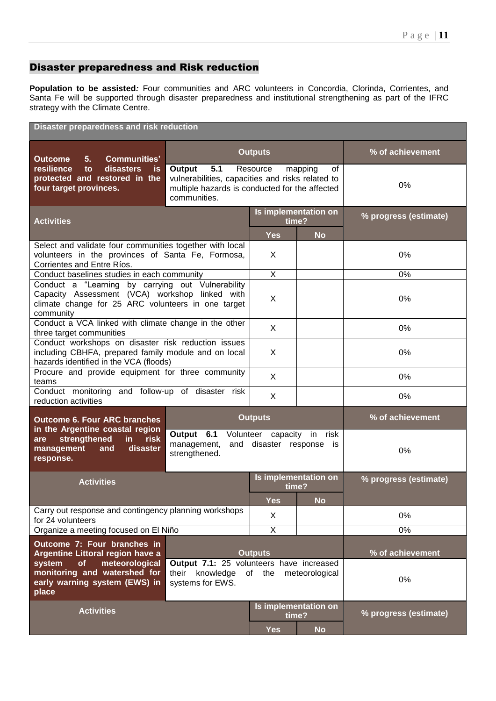# Disaster preparedness and Risk reduction

**Population to be assisted***:* Four communities and ARC volunteers in Concordia, Clorinda, Corrientes, and Santa Fe will be supported through disaster preparedness and institutional strengthening as part of the IFRC strategy with the Climate Centre.

| <b>Disaster preparedness and risk reduction</b>                                                                                                                        |                                                                                                                                     |                               |                      |                       |
|------------------------------------------------------------------------------------------------------------------------------------------------------------------------|-------------------------------------------------------------------------------------------------------------------------------------|-------------------------------|----------------------|-----------------------|
| <b>Communities'</b><br><b>Outcome</b><br>5.                                                                                                                            |                                                                                                                                     | <b>Outputs</b>                | % of achievement     |                       |
| resilience<br>disasters<br>to<br><b>is</b><br>protected and restored in the<br>four target provinces.                                                                  | 5.1<br>Output<br>vulnerabilities, capacities and risks related to<br>multiple hazards is conducted for the affected<br>communities. | Resource                      | mapping<br>οf        | 0%                    |
| <b>Activities</b>                                                                                                                                                      |                                                                                                                                     | Is implementation on<br>time? |                      | % progress (estimate) |
|                                                                                                                                                                        |                                                                                                                                     | <b>Yes</b>                    | <b>No</b>            |                       |
| Select and validate four communities together with local<br>volunteers in the provinces of Santa Fe, Formosa,<br>Corrientes and Entre Ríos.                            |                                                                                                                                     | X                             |                      | 0%                    |
| Conduct baselines studies in each community                                                                                                                            |                                                                                                                                     | X                             |                      | 0%                    |
| Conduct a "Learning by carrying out Vulnerability<br>Capacity Assessment (VCA) workshop linked with<br>climate change for 25 ARC volunteers in one target<br>community |                                                                                                                                     | X                             |                      | 0%                    |
| Conduct a VCA linked with climate change in the other<br>three target communities                                                                                      |                                                                                                                                     | X                             |                      | 0%                    |
| Conduct workshops on disaster risk reduction issues<br>including CBHFA, prepared family module and on local<br>hazards identified in the VCA (floods)                  | X                                                                                                                                   |                               | 0%                   |                       |
| Procure and provide equipment for three community<br>teams                                                                                                             |                                                                                                                                     | X                             |                      | 0%                    |
| reduction activities                                                                                                                                                   | Conduct monitoring and follow-up of disaster risk<br>X                                                                              |                               |                      | 0%                    |
| <b>Outcome 6. Four ARC branches</b>                                                                                                                                    | <b>Outputs</b>                                                                                                                      |                               |                      | % of achievement      |
| in the Argentine coastal region<br>strengthened<br>risk<br>in<br>are<br>disaster<br>management<br>and<br>response.                                                     | Output 6.1 Volunteer capacity in risk<br>management,<br>and disaster response is<br>strengthened.                                   |                               |                      | 0%                    |
| <b>Activities</b>                                                                                                                                                      |                                                                                                                                     | time?                         | Is implementation on | % progress (estimate) |
|                                                                                                                                                                        |                                                                                                                                     | Yes                           | <b>No</b>            |                       |
| for 24 volunteers                                                                                                                                                      | Carry out response and contingency planning workshops<br>X                                                                          |                               | 0%                   |                       |
| Organize a meeting focused on El Niño                                                                                                                                  |                                                                                                                                     | $\overline{\mathsf{X}}$       |                      | 0%                    |
| Outcome 7: Four branches in                                                                                                                                            |                                                                                                                                     |                               |                      |                       |
| Argentine Littoral region have a                                                                                                                                       |                                                                                                                                     | <b>Outputs</b>                |                      | % of achievement      |
| of<br>meteorological<br>system<br>monitoring and watershed for<br>early warning system (EWS) in<br>place                                                               | Output 7.1: 25 volunteers have increased<br>knowledge of the<br>meteorological<br>their<br>systems for EWS.                         |                               |                      | 0%                    |
| <b>Activities</b>                                                                                                                                                      |                                                                                                                                     | Is implementation on<br>time? |                      | % progress (estimate) |
|                                                                                                                                                                        |                                                                                                                                     | <b>Yes</b>                    | <b>No</b>            |                       |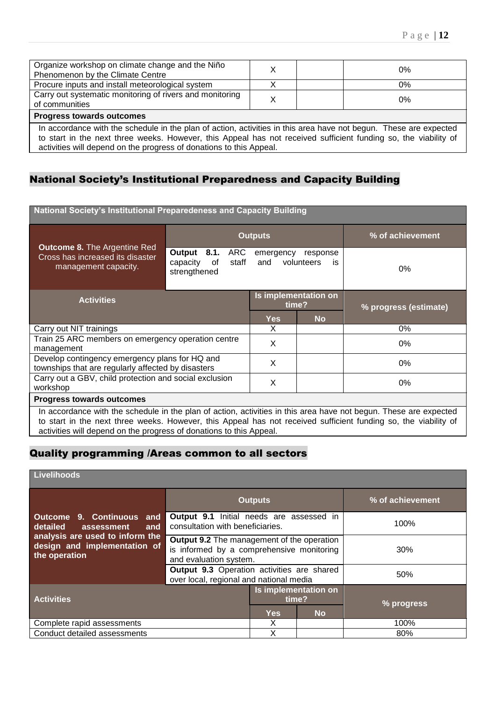| Organize workshop on climate change and the Niño<br>Phenomenon by the Climate Centre                              |  |  | 0% |  |  |
|-------------------------------------------------------------------------------------------------------------------|--|--|----|--|--|
| Procure inputs and install meteorological system                                                                  |  |  | 0% |  |  |
| Carry out systematic monitoring of rivers and monitoring<br>of communities                                        |  |  | 0% |  |  |
| <b>Progress towards outcomes</b>                                                                                  |  |  |    |  |  |
| In accordance with the schedule in the plan of action, activities in this area have not begun. These are expected |  |  |    |  |  |

to start in the next three weeks. However, this Appeal has not received sufficient funding so, the viability of activities will depend on the progress of donations to this Appeal.

# National Society's Institutional Preparedness and Capacity Building

| National Society's Institutional Preparedeness and Capacity Building                                                                                                                                                                 |                                                                  |                  |                               |       |  |
|--------------------------------------------------------------------------------------------------------------------------------------------------------------------------------------------------------------------------------------|------------------------------------------------------------------|------------------|-------------------------------|-------|--|
|                                                                                                                                                                                                                                      |                                                                  | <b>Outputs</b>   | % of achievement              |       |  |
| <b>Outcome 8. The Argentine Red</b><br>Cross has increased its disaster<br>management capacity.                                                                                                                                      | Output<br>8.1.<br>ARC<br>capacity<br>of<br>staff<br>strengthened | emergency<br>and | response<br>volunteers<br>is. | $0\%$ |  |
| <b>Activities</b>                                                                                                                                                                                                                    | Is implementation on<br>time?                                    |                  | % progress (estimate)         |       |  |
|                                                                                                                                                                                                                                      | <b>Yes</b>                                                       | <b>No</b>        |                               |       |  |
| Carry out NIT trainings                                                                                                                                                                                                              |                                                                  | X                |                               | 0%    |  |
| Train 25 ARC members on emergency operation centre<br>management                                                                                                                                                                     |                                                                  | X                |                               | $0\%$ |  |
| Develop contingency emergency plans for HQ and<br>townships that are regularly affected by disasters                                                                                                                                 |                                                                  | X                |                               | 0%    |  |
| Carry out a GBV, child protection and social exclusion<br>workshop                                                                                                                                                                   |                                                                  | X                |                               | 0%    |  |
| <b>Progress towards outcomes</b>                                                                                                                                                                                                     |                                                                  |                  |                               |       |  |
| In accordance with the schedule in the plan of action, activities in this area have not begun. These are expected<br>to start in the next three weeks. However, this Appeal has not received sufficient funding so, the viability of |                                                                  |                  |                               |       |  |

activities will depend on the progress of donations to this Appeal.

# Quality programming /Areas common to all sectors

# **Livelihoods**

|                                                                                  |                                                                                                                          | <b>Outputs</b> | % of achievement |      |
|----------------------------------------------------------------------------------|--------------------------------------------------------------------------------------------------------------------------|----------------|------------------|------|
| Outcome 9. Continuous and<br>detailed assessment<br>and                          | <b>Output 9.1</b> Initial needs are assessed in<br>consultation with beneficiaries.                                      |                |                  | 100% |
| analysis are used to inform the<br>design and implementation of<br>the operation | <b>Output 9.2</b> The management of the operation<br>is informed by a comprehensive monitoring<br>and evaluation system. |                | 30%              |      |
|                                                                                  | <b>Output 9.3</b> Operation activities are shared<br>over local, regional and national media                             |                | 50%              |      |
| <b>Activities</b>                                                                | Is implementation on<br>time?                                                                                            |                | % progress       |      |
|                                                                                  | <b>Yes</b>                                                                                                               | <b>No</b>      |                  |      |
| Complete rapid assessments                                                       |                                                                                                                          |                |                  | 100% |
| Conduct detailed assessments                                                     |                                                                                                                          | Χ              |                  | 80%  |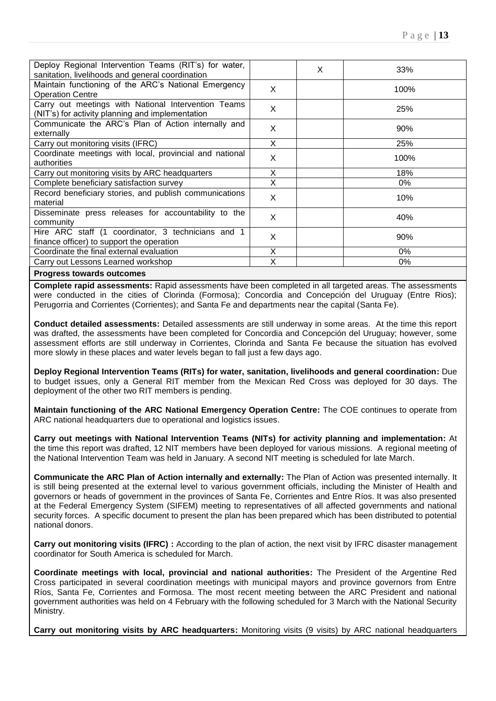| Deploy Regional Intervention Teams (RIT's) for water,<br>sanitation, livelihoods and general coordination |   | X | 33%   |
|-----------------------------------------------------------------------------------------------------------|---|---|-------|
| Maintain functioning of the ARC's National Emergency<br><b>Operation Centre</b>                           | X |   | 100%  |
| Carry out meetings with National Intervention Teams<br>(NIT's) for activity planning and implementation   | X |   | 25%   |
| Communicate the ARC's Plan of Action internally and<br>externally                                         | X |   | 90%   |
| Carry out monitoring visits (IFRC)                                                                        | X |   | 25%   |
| Coordinate meetings with local, provincial and national<br>authorities                                    | X |   | 100%  |
| Carry out monitoring visits by ARC headquarters                                                           | X |   | 18%   |
| Complete beneficiary satisfaction survey                                                                  | X |   | 0%    |
| Record beneficiary stories, and publish communications<br>material                                        | X |   | 10%   |
| Disseminate press releases for accountability to the<br>community                                         | X |   | 40%   |
| Hire ARC staff (1 coordinator, 3 technicians and 1<br>finance officer) to support the operation           | X |   | 90%   |
| Coordinate the final external evaluation                                                                  | X |   | $0\%$ |
| Carry out Lessons Learned workshop                                                                        | X |   | $0\%$ |
| <b>Progress towards outcomes</b>                                                                          |   |   |       |

**Complete rapid assessments:** Rapid assessments have been completed in all targeted areas. The assessments were conducted in the cities of Clorinda (Formosa); Concordia and Concepción del Uruguay (Entre Rios); Perugorria and Corrientes (Corrientes); and Santa Fe and departments near the capital (Santa Fe).

**Conduct detailed assessments:** Detailed assessments are still underway in some areas. At the time this report was drafted, the assessments have been completed for Concordia and Concepción del Uruguay; however, some assessment efforts are still underway in Corrientes, Clorinda and Santa Fe because the situation has evolved more slowly in these places and water levels began to fall just a few days ago.

**Deploy Regional Intervention Teams (RITs) for water, sanitation, livelihoods and general coordination:** Due to budget issues, only a General RIT member from the Mexican Red Cross was deployed for 30 days. The deployment of the other two RIT members is pending.

**Maintain functioning of the ARC National Emergency Operation Centre:** The COE continues to operate from ARC national headquarters due to operational and logistics issues.

**Carry out meetings with National Intervention Teams (NITs) for activity planning and implementation:** At the time this report was drafted, 12 NIT members have been deployed for various missions. A regional meeting of the National Intervention Team was held in January. A second NIT meeting is scheduled for late March.

**Communicate the ARC Plan of Action internally and externally:** The Plan of Action was presented internally. It is still being presented at the external level to various government officials, including the Minister of Health and governors or heads of government in the provinces of Santa Fe, Corrientes and Entre Ríos. It was also presented at the Federal Emergency System (SIFEM) meeting to representatives of all affected governments and national security forces. A specific document to present the plan has been prepared which has been distributed to potential national donors.

**Carry out monitoring visits (IFRC) :** According to the plan of action, the next visit by IFRC disaster management coordinator for South America is scheduled for March.

**Coordinate meetings with local, provincial and national authorities:** The President of the Argentine Red Cross participated in several coordination meetings with municipal mayors and province governors from Entre Ríos, Santa Fe, Corrientes and Formosa. The most recent meeting between the ARC President and national government authorities was held on 4 February with the following scheduled for 3 March with the National Security Ministry.

**Carry out monitoring visits by ARC headquarters:** Monitoring visits (9 visits) by ARC national headquarters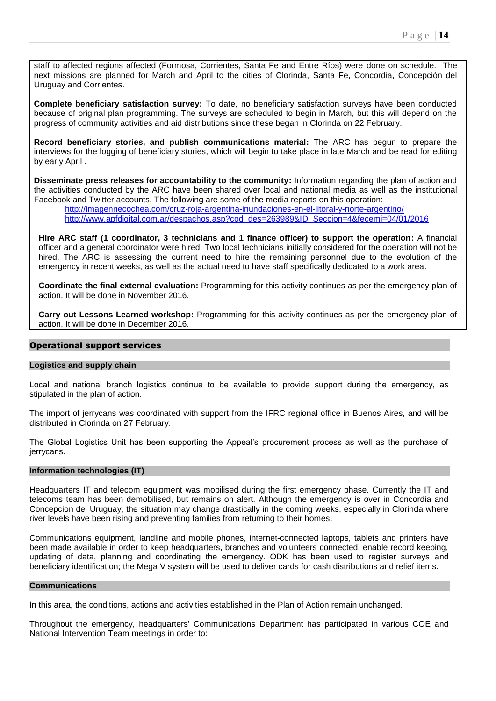staff to affected regions affected (Formosa, Corrientes, Santa Fe and Entre Ríos) were done on schedule. The next missions are planned for March and April to the cities of Clorinda, Santa Fe, Concordia, Concepción del Uruguay and Corrientes.

**Complete beneficiary satisfaction survey:** To date, no beneficiary satisfaction surveys have been conducted because of original plan programming. The surveys are scheduled to begin in March, but this will depend on the progress of community activities and aid distributions since these began in Clorinda on 22 February.

**Record beneficiary stories, and publish communications material:** The ARC has begun to prepare the interviews for the logging of beneficiary stories, which will begin to take place in late March and be read for editing by early April .

**Disseminate press releases for accountability to the community:** Information regarding the plan of action and the activities conducted by the ARC have been shared over local and national media as well as the institutional Facebook and Twitter accounts. The following are some of the media reports on this operation:

<http://imagennecochea.com/cruz-roja-argentina-inundaciones-en-el-litoral-y-norte-argentino/> [http://www.apfdigital.com.ar/despachos.asp?cod\\_des=263989&ID\\_Seccion=4&fecemi=04/01/2016](http://www.apfdigital.com.ar/despachos.asp?cod_des=263989&ID_Seccion=4&fecemi=04/01/2016)

**Hire ARC staff (1 coordinator, 3 technicians and 1 finance officer) to support the operation:** A financial officer and a general coordinator were hired. Two local technicians initially considered for the operation will not be hired. The ARC is assessing the current need to hire the remaining personnel due to the evolution of the emergency in recent weeks, as well as the actual need to have staff specifically dedicated to a work area.

**Coordinate the final external evaluation:** Programming for this activity continues as per the emergency plan of action. It will be done in November 2016.

**Carry out Lessons Learned workshop:** Programming for this activity continues as per the emergency plan of action. It will be done in December 2016.

#### Operational support services

## **Logistics and supply chain**

Local and national branch logistics continue to be available to provide support during the emergency, as stipulated in the plan of action.

The import of jerrycans was coordinated with support from the IFRC regional office in Buenos Aires, and will be distributed in Clorinda on 27 February.

The Global Logistics Unit has been supporting the Appeal's procurement process as well as the purchase of jerrycans.

## **Information technologies (IT)**

Headquarters IT and telecom equipment was mobilised during the first emergency phase. Currently the IT and telecoms team has been demobilised, but remains on alert. Although the emergency is over in Concordia and Concepcion del Uruguay, the situation may change drastically in the coming weeks, especially in Clorinda where river levels have been rising and preventing families from returning to their homes.

Communications equipment, landline and mobile phones, internet-connected laptops, tablets and printers have been made available in order to keep headquarters, branches and volunteers connected, enable record keeping, updating of data, planning and coordinating the emergency. ODK has been used to register surveys and beneficiary identification; the Mega V system will be used to deliver cards for cash distributions and relief items.

#### **Communications**

In this area, the conditions, actions and activities established in the Plan of Action remain unchanged.

Throughout the emergency, headquarters' Communications Department has participated in various COE and National Intervention Team meetings in order to: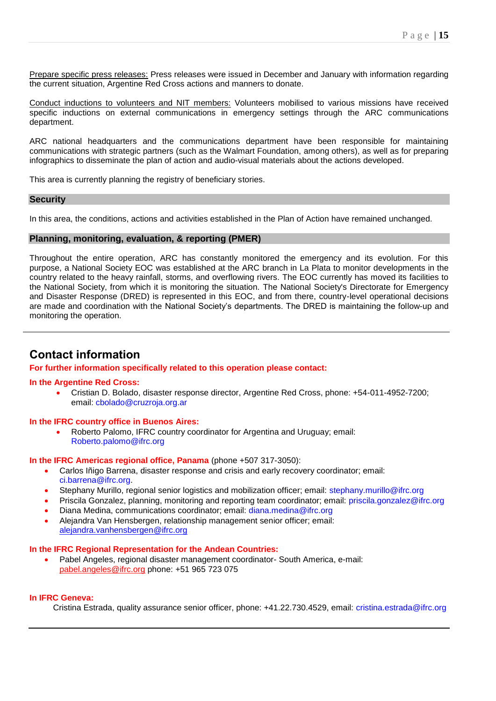<span id="page-14-0"></span>Prepare specific press releases: Press releases were issued in December and January with information regarding the current situation, Argentine Red Cross actions and manners to donate.

Conduct inductions to volunteers and NIT members: Volunteers mobilised to various missions have received specific inductions on external communications in emergency settings through the ARC communications department.

ARC national headquarters and the communications department have been responsible for maintaining communications with strategic partners (such as the Walmart Foundation, among others), as well as for preparing infographics to disseminate the plan of action and audio-visual materials about the actions developed.

This area is currently planning the registry of beneficiary stories.

## **Security**

In this area, the conditions, actions and activities established in the Plan of Action have remained unchanged.

#### **Planning, monitoring, evaluation, & reporting (PMER)**

Throughout the entire operation, ARC has constantly monitored the emergency and its evolution. For this purpose, a National Society EOC was established at the ARC branch in La Plata to monitor developments in the country related to the heavy rainfall, storms, and overflowing rivers. The EOC currently has moved its facilities to the National Society, from which it is monitoring the situation. The National Society's Directorate for Emergency and Disaster Response (DRED) is represented in this EOC, and from there, country-level operational decisions are made and coordination with the National Society's departments. The DRED is maintaining the follow-up and monitoring the operation.

# **Contact information**

#### **For further information specifically related to this operation please contact:**

#### **In the Argentine Red Cross:**

 Cristian D. Bolado, disaster response director, Argentine Red Cross, phone: +54-011-4952-7200; email: cbolado@cruzroja.org.ar

#### **In the IFRC country office in Buenos Aires:**

 Roberto Palomo, IFRC country coordinator for Argentina and Uruguay; email: Roberto.palomo@ifrc.org

#### **In the IFRC Americas regional office, Panama** (phone +507 317-3050):

- Carlos Iñigo Barrena, disaster response and crisis and early recovery coordinator; email: ci.barrena@ifrc.org.
- Stephany Murillo, regional senior logistics and mobilization officer; email: stephany.murillo@ifrc.org
- Priscila Gonzalez, planning, monitoring and reporting team coordinator; email: priscila.gonzalez@ifrc.org
- Diana Medina, communications coordinator; email: diana.medina@ifrc.org
- Alejandra Van Hensbergen, relationship management senior officer; email: [alejandra.vanhensbergen@ifrc.org](mailto:alejandra.vanhensbergen@ifrc.org)

#### **In the IFRC Regional Representation for the Andean Countries:**

 Pabel Angeles, regional disaster management coordinator- South America, e-mail: [pabel.angeles@ifrc.org](mailto:elena.valenciano@ifrc.org) phone: +51 965 723 075

## **In IFRC Geneva:**

Cristina Estrada, quality assurance senior officer, phone: +41.22.730.4529, email: cristina.estrada@ifrc.org